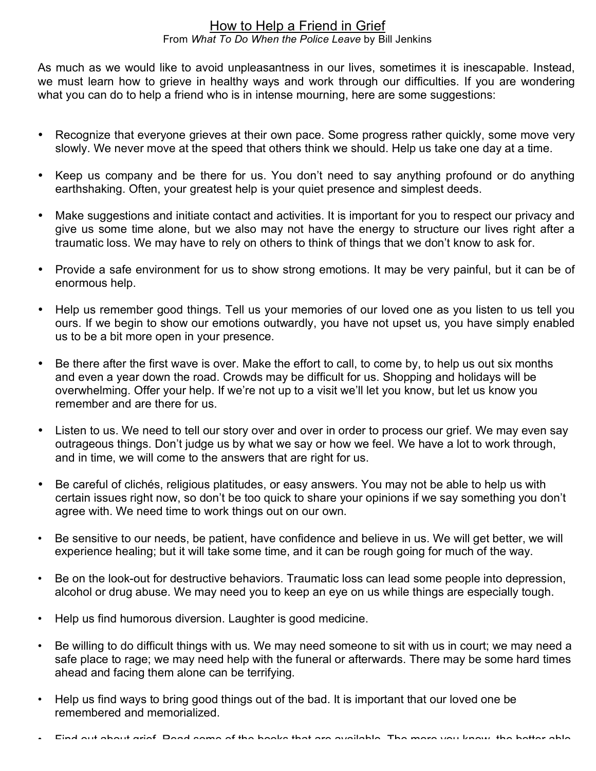## How to Help a Friend in Grief From *What To Do When the Police Leave* by Bill Jenkins

As much as we would like to avoid unpleasantness in our lives, sometimes it is inescapable. Instead, we must learn how to grieve in healthy ways and work through our difficulties. If you are wondering what you can do to help a friend who is in intense mourning, here are some suggestions:

- Recognize that everyone grieves at their own pace. Some progress rather quickly, some move very slowly. We never move at the speed that others think we should. Help us take one day at a time.
- Keep us company and be there for us. You don't need to say anything profound or do anything earthshaking. Often, your greatest help is your quiet presence and simplest deeds.
- Make suggestions and initiate contact and activities. It is important for you to respect our privacy and give us some time alone, but we also may not have the energy to structure our lives right after a traumatic loss. We may have to rely on others to think of things that we don't know to ask for.
- Provide a safe environment for us to show strong emotions. It may be very painful, but it can be of enormous help.
- Help us remember good things. Tell us your memories of our loved one as you listen to us tell you ours. If we begin to show our emotions outwardly, you have not upset us, you have simply enabled us to be a bit more open in your presence.
- Be there after the first wave is over. Make the effort to call, to come by, to help us out six months and even a year down the road. Crowds may be difficult for us. Shopping and holidays will be overwhelming. Offer your help. If we're not up to a visit we'll let you know, but let us know you remember and are there for us.
- Listen to us. We need to tell our story over and over in order to process our grief. We may even say outrageous things. Don't judge us by what we say or how we feel. We have a lot to work through, and in time, we will come to the answers that are right for us.
- Be careful of clichés, religious platitudes, or easy answers. You may not be able to help us with certain issues right now, so don't be too quick to share your opinions if we say something you don't agree with. We need time to work things out on our own.
- Be sensitive to our needs, be patient, have confidence and believe in us. We will get better, we will experience healing; but it will take some time, and it can be rough going for much of the way.
- Be on the look-out for destructive behaviors. Traumatic loss can lead some people into depression, alcohol or drug abuse. We may need you to keep an eye on us while things are especially tough.
- Help us find humorous diversion. Laughter is good medicine.
- Be willing to do difficult things with us. We may need someone to sit with us in court; we may need a safe place to rage; we may need help with the funeral or afterwards. There may be some hard times ahead and facing them alone can be terrifying.
- Help us find ways to bring good things out of the bad. It is important that our loved one be remembered and memorialized.